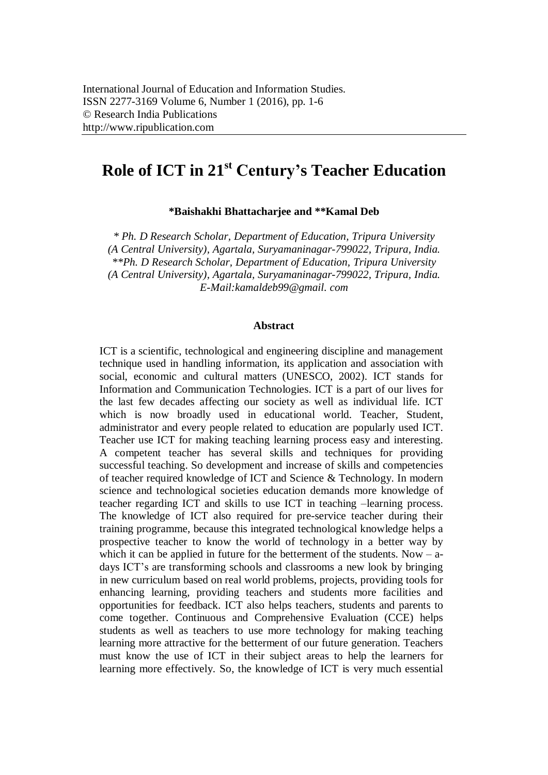# **Role of ICT in 21st Century's Teacher Education**

**\*Baishakhi Bhattacharjee and \*\*Kamal Deb**

*\* Ph. D Research Scholar, Department of Education, Tripura University (A Central University), Agartala, Suryamaninagar-799022, Tripura, India. \*\*Ph. D Research Scholar, Department of Education, Tripura University (A Central University), Agartala, Suryamaninagar-799022, Tripura, India. E-Mail:kamaldeb99@gmail. com*

#### **Abstract**

ICT is a scientific, technological and engineering discipline and management technique used in handling information, its application and association with social, economic and cultural matters (UNESCO, 2002). ICT stands for Information and Communication Technologies. ICT is a part of our lives for the last few decades affecting our society as well as individual life. ICT which is now broadly used in educational world. Teacher, Student, administrator and every people related to education are popularly used ICT. Teacher use ICT for making teaching learning process easy and interesting. A competent teacher has several skills and techniques for providing successful teaching. So development and increase of skills and competencies of teacher required knowledge of ICT and Science & Technology. In modern science and technological societies education demands more knowledge of teacher regarding ICT and skills to use ICT in teaching –learning process. The knowledge of ICT also required for pre-service teacher during their training programme, because this integrated technological knowledge helps a prospective teacher to know the world of technology in a better way by which it can be applied in future for the betterment of the students. Now  $-$  adays ICT"s are transforming schools and classrooms a new look by bringing in new curriculum based on real world problems, projects, providing tools for enhancing learning, providing teachers and students more facilities and opportunities for feedback. ICT also helps teachers, students and parents to come together. Continuous and Comprehensive Evaluation (CCE) helps students as well as teachers to use more technology for making teaching learning more attractive for the betterment of our future generation. Teachers must know the use of ICT in their subject areas to help the learners for learning more effectively. So, the knowledge of ICT is very much essential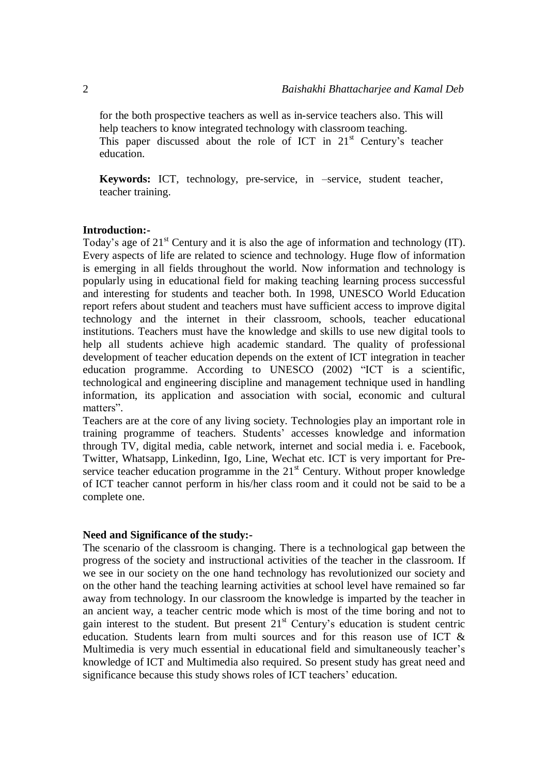for the both prospective teachers as well as in-service teachers also. This will help teachers to know integrated technology with classroom teaching. This paper discussed about the role of ICT in  $21<sup>st</sup>$  Century's teacher education.

**Keywords:** ICT, technology, pre-service, in –service, student teacher, teacher training.

#### **Introduction:-**

Today's age of  $21<sup>st</sup>$  Century and it is also the age of information and technology (IT). Every aspects of life are related to science and technology. Huge flow of information is emerging in all fields throughout the world. Now information and technology is popularly using in educational field for making teaching learning process successful and interesting for students and teacher both. In 1998, UNESCO World Education report refers about student and teachers must have sufficient access to improve digital technology and the internet in their classroom, schools, teacher educational institutions. Teachers must have the knowledge and skills to use new digital tools to help all students achieve high academic standard. The quality of professional development of teacher education depends on the extent of ICT integration in teacher education programme. According to UNESCO (2002) "ICT is a scientific, technological and engineering discipline and management technique used in handling information, its application and association with social, economic and cultural matters".

Teachers are at the core of any living society. Technologies play an important role in training programme of teachers. Students" accesses knowledge and information through TV, digital media, cable network, internet and social media i. e. Facebook, Twitter, Whatsapp, Linkedinn, Igo, Line, Wechat etc. ICT is very important for Preservice teacher education programme in the  $21<sup>st</sup>$  Century. Without proper knowledge of ICT teacher cannot perform in his/her class room and it could not be said to be a complete one.

#### **Need and Significance of the study:-**

The scenario of the classroom is changing. There is a technological gap between the progress of the society and instructional activities of the teacher in the classroom. If we see in our society on the one hand technology has revolutionized our society and on the other hand the teaching learning activities at school level have remained so far away from technology. In our classroom the knowledge is imparted by the teacher in an ancient way, a teacher centric mode which is most of the time boring and not to gain interest to the student. But present  $21<sup>st</sup>$  Century's education is student centric education. Students learn from multi sources and for this reason use of ICT & Multimedia is very much essential in educational field and simultaneously teacher's knowledge of ICT and Multimedia also required. So present study has great need and significance because this study shows roles of ICT teachers' education.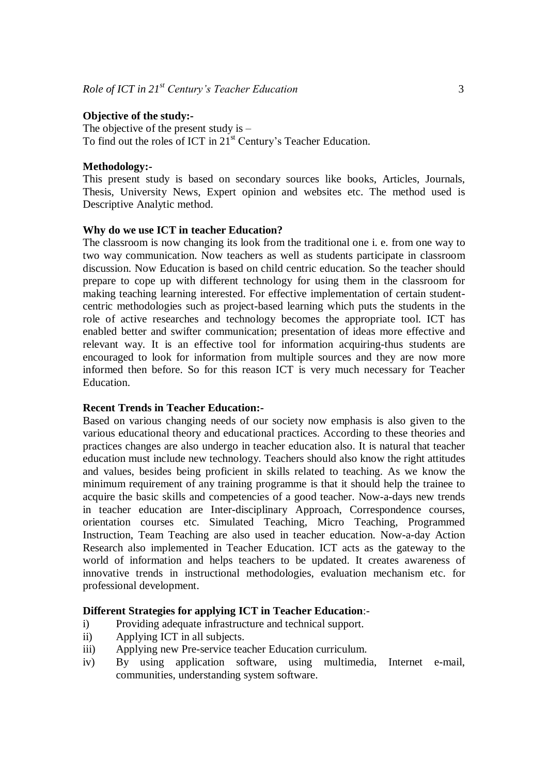#### **Objective of the study:-**

The objective of the present study is  $-$ To find out the roles of ICT in 21<sup>st</sup> Century's Teacher Education.

#### **Methodology:-**

This present study is based on secondary sources like books, Articles, Journals, Thesis, University News, Expert opinion and websites etc. The method used is Descriptive Analytic method.

#### **Why do we use ICT in teacher Education?**

The classroom is now changing its look from the traditional one i. e. from one way to two way communication. Now teachers as well as students participate in classroom discussion. Now Education is based on child centric education. So the teacher should prepare to cope up with different technology for using them in the classroom for making teaching learning interested. For effective implementation of certain studentcentric methodologies such as project-based learning which puts the students in the role of active researches and technology becomes the appropriate tool. ICT has enabled better and swifter communication; presentation of ideas more effective and relevant way. It is an effective tool for information acquiring-thus students are encouraged to look for information from multiple sources and they are now more informed then before. So for this reason ICT is very much necessary for Teacher Education.

#### **Recent Trends in Teacher Education:-**

Based on various changing needs of our society now emphasis is also given to the various educational theory and educational practices. According to these theories and practices changes are also undergo in teacher education also. It is natural that teacher education must include new technology. Teachers should also know the right attitudes and values, besides being proficient in skills related to teaching. As we know the minimum requirement of any training programme is that it should help the trainee to acquire the basic skills and competencies of a good teacher. Now-a-days new trends in teacher education are Inter-disciplinary Approach, Correspondence courses, orientation courses etc. Simulated Teaching, Micro Teaching, Programmed Instruction, Team Teaching are also used in teacher education. Now-a-day Action Research also implemented in Teacher Education. ICT acts as the gateway to the world of information and helps teachers to be updated. It creates awareness of innovative trends in instructional methodologies, evaluation mechanism etc. for professional development.

#### **Different Strategies for applying ICT in Teacher Education**:-

- i) Providing adequate infrastructure and technical support.
- ii) Applying ICT in all subjects.
- iii) Applying new Pre-service teacher Education curriculum.
- iv) By using application software, using multimedia, Internet e-mail, communities, understanding system software.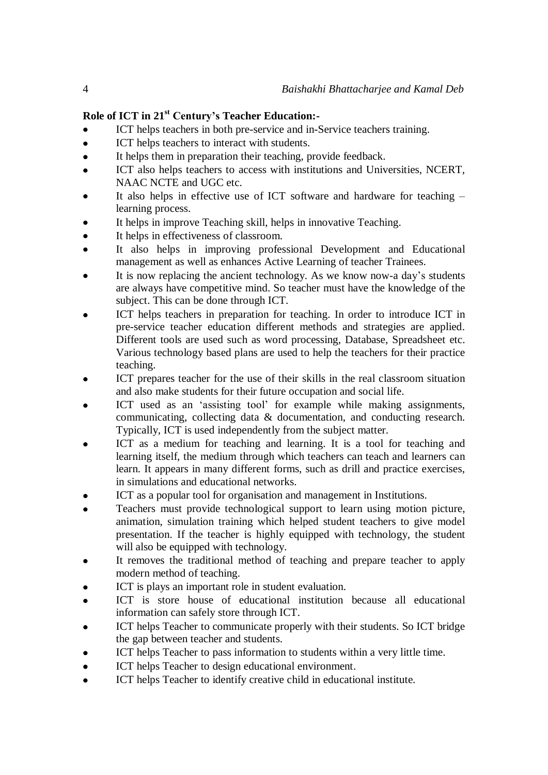# **Role of ICT in 21st Century's Teacher Education:-**

- ICT helps teachers in both pre-service and in-Service teachers training.
- ICT helps teachers to interact with students.  $\bullet$
- It helps them in preparation their teaching, provide feedback.  $\bullet$
- ICT also helps teachers to access with institutions and Universities, NCERT, NAAC NCTE and UGC etc.
- It also helps in effective use of ICT software and hardware for teaching learning process.
- It helps in improve Teaching skill, helps in innovative Teaching.
- $\bullet$ It helps in effectiveness of classroom.
- It also helps in improving professional Development and Educational management as well as enhances Active Learning of teacher Trainees.
- It is now replacing the ancient technology. As we know now-a day"s students are always have competitive mind. So teacher must have the knowledge of the subject. This can be done through ICT.
- ICT helps teachers in preparation for teaching. In order to introduce ICT in pre-service teacher education different methods and strategies are applied. Different tools are used such as word processing, Database, Spreadsheet etc. Various technology based plans are used to help the teachers for their practice teaching.
- ICT prepares teacher for the use of their skills in the real classroom situation and also make students for their future occupation and social life.
- ICT used as an "assisting tool" for example while making assignments, communicating, collecting data & documentation, and conducting research. Typically, ICT is used independently from the subject matter.
- ICT as a medium for teaching and learning. It is a tool for teaching and learning itself, the medium through which teachers can teach and learners can learn. It appears in many different forms, such as drill and practice exercises, in simulations and educational networks.
- ICT as a popular tool for organisation and management in Institutions.
- Teachers must provide technological support to learn using motion picture, animation, simulation training which helped student teachers to give model presentation. If the teacher is highly equipped with technology, the student will also be equipped with technology.
- It removes the traditional method of teaching and prepare teacher to apply modern method of teaching.
- ICT is plays an important role in student evaluation.
- ICT is store house of educational institution because all educational information can safely store through ICT.
- ICT helps Teacher to communicate properly with their students. So ICT bridge the gap between teacher and students.
- ICT helps Teacher to pass information to students within a very little time.
- ICT helps Teacher to design educational environment.  $\bullet$
- ICT helps Teacher to identify creative child in educational institute.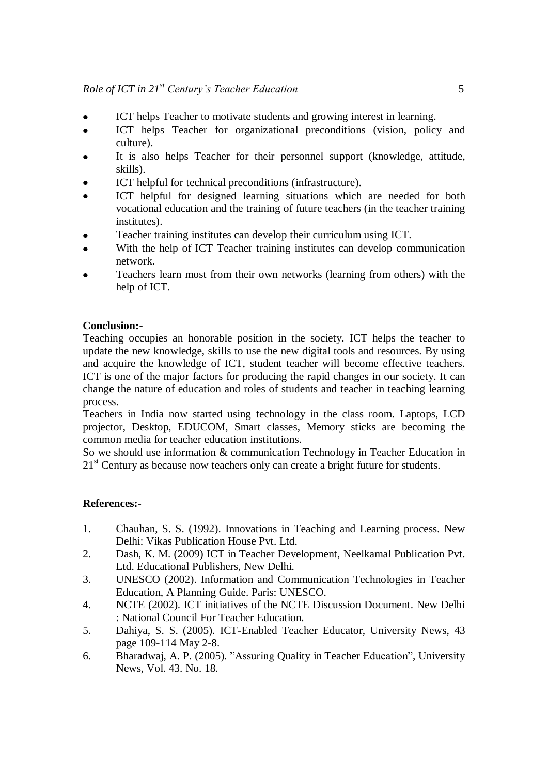- ICT helps Teacher to motivate students and growing interest in learning.  $\bullet$
- ICT helps Teacher for organizational preconditions (vision, policy and  $\bullet$ culture).
- It is also helps Teacher for their personnel support (knowledge, attitude, skills).
- ICT helpful for technical preconditions (infrastructure).
- ICT helpful for designed learning situations which are needed for both vocational education and the training of future teachers (in the teacher training institutes).
- Teacher training institutes can develop their curriculum using ICT.
- With the help of ICT Teacher training institutes can develop communication network.
- Teachers learn most from their own networks (learning from others) with the help of ICT.

## **Conclusion:-**

Teaching occupies an honorable position in the society. ICT helps the teacher to update the new knowledge, skills to use the new digital tools and resources. By using and acquire the knowledge of ICT, student teacher will become effective teachers. ICT is one of the major factors for producing the rapid changes in our society. It can change the nature of education and roles of students and teacher in teaching learning process.

Teachers in India now started using technology in the class room. Laptops, LCD projector, Desktop, EDUCOM, Smart classes, Memory sticks are becoming the common media for teacher education institutions.

So we should use information & communication Technology in Teacher Education in 21<sup>st</sup> Century as because now teachers only can create a bright future for students.

## **References:-**

- 1. Chauhan, S. S. (1992). Innovations in Teaching and Learning process. New Delhi: Vikas Publication House Pvt. Ltd.
- 2. Dash, K. M. (2009) ICT in Teacher Development, Neelkamal Publication Pvt. Ltd. Educational Publishers, New Delhi.
- 3. UNESCO (2002). Information and Communication Technologies in Teacher Education, A Planning Guide. Paris: UNESCO.
- 4. NCTE (2002). ICT initiatives of the NCTE Discussion Document. New Delhi : National Council For Teacher Education.
- 5. Dahiya, S. S. (2005). ICT-Enabled Teacher Educator, University News, 43 page 109-114 May 2-8.
- 6. Bharadwaj, A. P. (2005). "Assuring Quality in Teacher Education", University News, Vol. 43. No. 18.